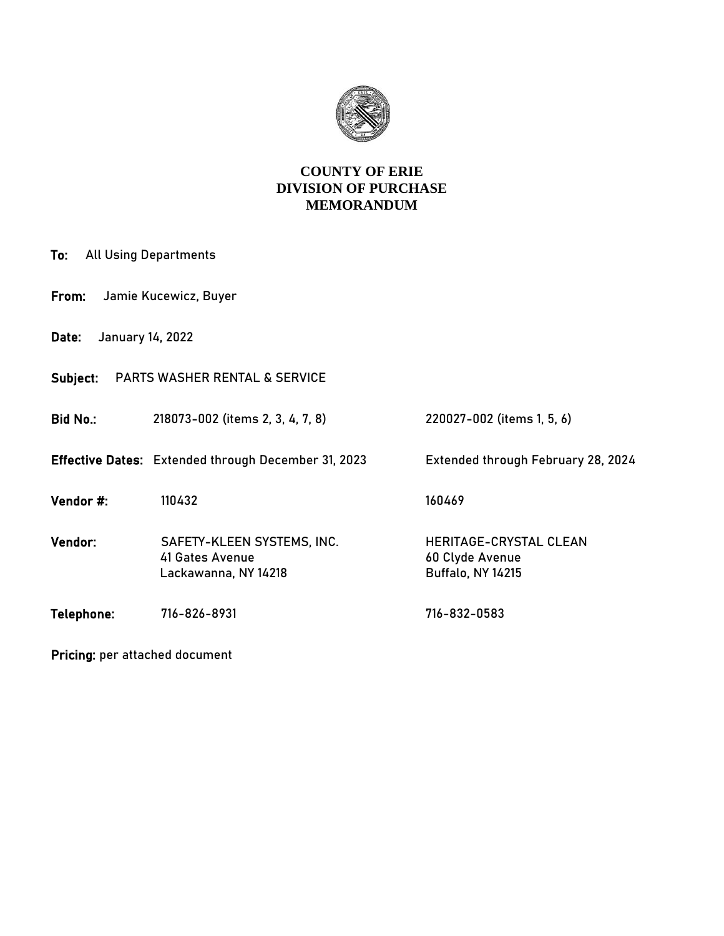

## **COUNTY OF ERIE DIVISION OF PURCHASE MEMORANDUM**

| <b>All Using Departments</b><br>To:       |                                                                       |                                                                              |  |  |  |
|-------------------------------------------|-----------------------------------------------------------------------|------------------------------------------------------------------------------|--|--|--|
| Jamie Kucewicz, Buyer<br>From:            |                                                                       |                                                                              |  |  |  |
| January 14, 2022<br>Date:                 |                                                                       |                                                                              |  |  |  |
| Subject:<br>PARTS WASHER RENTAL & SERVICE |                                                                       |                                                                              |  |  |  |
| <b>Bid No.:</b>                           | 218073-002 (items 2, 3, 4, 7, 8)                                      | 220027-002 (items 1, 5, 6)                                                   |  |  |  |
|                                           | <b>Effective Dates:</b> Extended through December 31, 2023            | Extended through February 28, 2024                                           |  |  |  |
| Vendor #:                                 | 110432                                                                | 160469                                                                       |  |  |  |
| Vendor:                                   | SAFETY-KLEEN SYSTEMS, INC.<br>41 Gates Avenue<br>Lackawanna, NY 14218 | <b>HERITAGE-CRYSTAL CLEAN</b><br>60 Clyde Avenue<br><b>Buffalo, NY 14215</b> |  |  |  |
| Telephone:                                | 716-826-8931                                                          | 716-832-0583                                                                 |  |  |  |

Pricing: per attached document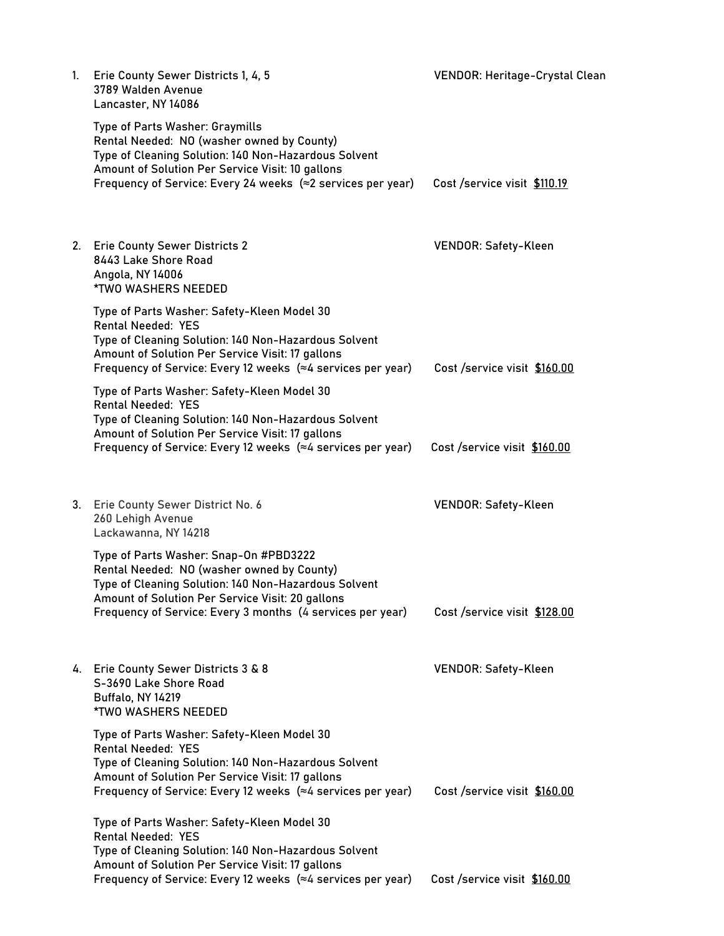| 1. | Erie County Sewer Districts 1, 4, 5<br>3789 Walden Avenue<br>Lancaster, NY 14086                                                                                                                                                                             | <b>VENDOR: Heritage-Crystal Clean</b> |
|----|--------------------------------------------------------------------------------------------------------------------------------------------------------------------------------------------------------------------------------------------------------------|---------------------------------------|
|    | Type of Parts Washer: Graymills<br>Rental Needed: NO (washer owned by County)<br>Type of Cleaning Solution: 140 Non-Hazardous Solvent<br>Amount of Solution Per Service Visit: 10 gallons                                                                    |                                       |
|    | Frequency of Service: Every 24 weeks $\approx$ 2 services per year)                                                                                                                                                                                          | Cost /service visit \$110.19          |
| 2. | <b>Erie County Sewer Districts 2</b><br>8443 Lake Shore Road<br>Angola, NY 14006<br>*TWO WASHERS NEEDED                                                                                                                                                      | <b>VENDOR: Safety-Kleen</b>           |
|    | Type of Parts Washer: Safety-Kleen Model 30<br><b>Rental Needed: YES</b><br>Type of Cleaning Solution: 140 Non-Hazardous Solvent<br>Amount of Solution Per Service Visit: 17 gallons<br>Frequency of Service: Every 12 weeks (≈4 services per year)          | Cost /service visit \$160.00          |
|    | Type of Parts Washer: Safety-Kleen Model 30<br><b>Rental Needed: YES</b><br>Type of Cleaning Solution: 140 Non-Hazardous Solvent<br>Amount of Solution Per Service Visit: 17 gallons<br>Frequency of Service: Every 12 weeks $(\approx 4$ services per year) | Cost /service visit \$160.00          |
|    |                                                                                                                                                                                                                                                              |                                       |
|    | 3. Erie County Sewer District No. 6<br>260 Lehigh Avenue<br>Lackawanna, NY 14218                                                                                                                                                                             | <b>VENDOR: Safety-Kleen</b>           |
|    | Type of Parts Washer: Snap-On #PBD3222<br>Rental Needed: NO (washer owned by County)<br>Type of Cleaning Solution: 140 Non-Hazardous Solvent<br>Amount of Solution Per Service Visit: 20 gallons                                                             |                                       |
|    | Frequency of Service: Every 3 months (4 services per year)                                                                                                                                                                                                   | Cost /service visit \$128.00          |
|    | 4. Erie County Sewer Districts 3 & 8<br>S-3690 Lake Shore Road<br>Buffalo, NY 14219<br><b>*TWO WASHERS NEEDED</b>                                                                                                                                            | <b>VENDOR: Safety-Kleen</b>           |
|    | Type of Parts Washer: Safety-Kleen Model 30<br><b>Rental Needed: YES</b><br>Type of Cleaning Solution: 140 Non-Hazardous Solvent                                                                                                                             |                                       |
|    | Amount of Solution Per Service Visit: 17 gallons<br>Frequency of Service: Every 12 weeks $(\approx 4$ services per year)                                                                                                                                     | Cost /service visit \$160.00          |
|    | Type of Parts Washer: Safety-Kleen Model 30<br><b>Rental Needed: YES</b>                                                                                                                                                                                     |                                       |
|    | Type of Cleaning Solution: 140 Non-Hazardous Solvent<br>Amount of Solution Per Service Visit: 17 gallons                                                                                                                                                     |                                       |
|    | Frequency of Service: Every 12 weeks (≈4 services per year)                                                                                                                                                                                                  | Cost /service visit \$160.00          |